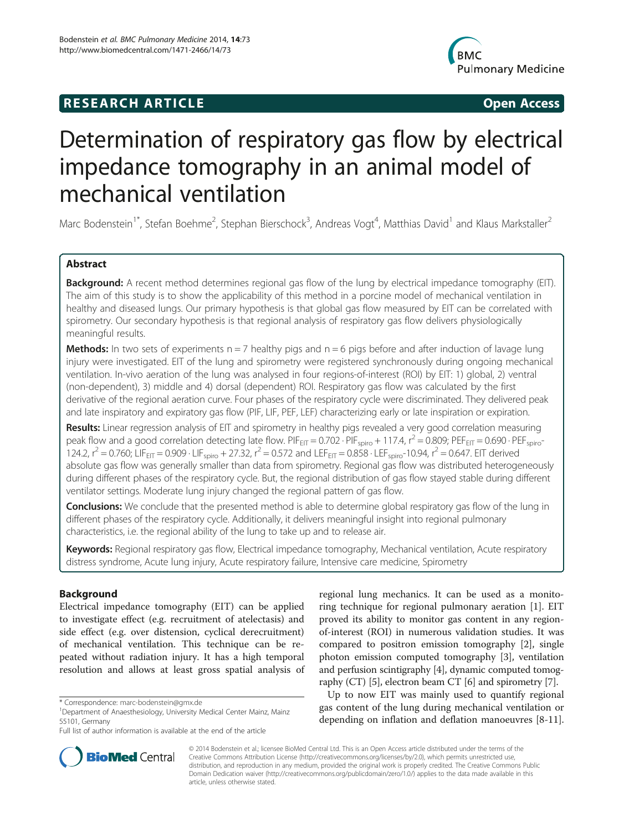# **RESEARCH ARTICLE Example 2018 CONSIDERING CONSIDERING CONSIDERING CONSIDERING CONSIDERING CONSIDERING CONSIDERING CONSIDERING CONSIDERING CONSIDERING CONSIDERING CONSIDERING CONSIDERING CONSIDERING CONSIDERING CONSIDE**



# Determination of respiratory gas flow by electrical impedance tomography in an animal model of mechanical ventilation

Marc Bodenstein<sup>1\*</sup>, Stefan Boehme<sup>2</sup>, Stephan Bierschock<sup>3</sup>, Andreas Vogt<sup>4</sup>, Matthias David<sup>1</sup> and Klaus Markstaller<sup>2</sup>

# Abstract

Background: A recent method determines regional gas flow of the lung by electrical impedance tomography (EIT). The aim of this study is to show the applicability of this method in a porcine model of mechanical ventilation in healthy and diseased lungs. Our primary hypothesis is that global gas flow measured by EIT can be correlated with spirometry. Our secondary hypothesis is that regional analysis of respiratory gas flow delivers physiologically meaningful results.

**Methods:** In two sets of experiments  $n = 7$  healthy pigs and  $n = 6$  pigs before and after induction of lavage lung injury were investigated. EIT of the lung and spirometry were registered synchronously during ongoing mechanical ventilation. In-vivo aeration of the lung was analysed in four regions-of-interest (ROI) by EIT: 1) global, 2) ventral (non-dependent), 3) middle and 4) dorsal (dependent) ROI. Respiratory gas flow was calculated by the first derivative of the regional aeration curve. Four phases of the respiratory cycle were discriminated. They delivered peak and late inspiratory and expiratory gas flow (PIF, LIF, PEF, LEF) characterizing early or late inspiration or expiration.

Results: Linear regression analysis of EIT and spirometry in healthy pigs revealed a very good correlation measuring peak flow and a good correlation detecting late flow. PIF<sub>FIT</sub> = 0.702 · PIF<sub>spiro</sub> + 117.4,  $r^2$  = 0.809; PEF<sub>FIT</sub> = 0.690 · PEF<sub>spiro</sub>-124.2,  $r^2$  = 0.760; LIF<sub>EIT</sub> = 0.909 · LIF<sub>spiro</sub> + 27.32,  $r^2$  = 0.572 and LEF<sub>EIT</sub> = 0.858 · LEF<sub>spiro</sub>-10.94,  $r^2$  = 0.647. EIT derived absolute gas flow was generally smaller than data from spirometry. Regional gas flow was distributed heterogeneously during different phases of the respiratory cycle. But, the regional distribution of gas flow stayed stable during different ventilator settings. Moderate lung injury changed the regional pattern of gas flow.

Conclusions: We conclude that the presented method is able to determine global respiratory gas flow of the lung in different phases of the respiratory cycle. Additionally, it delivers meaningful insight into regional pulmonary characteristics, i.e. the regional ability of the lung to take up and to release air.

Keywords: Regional respiratory gas flow, Electrical impedance tomography, Mechanical ventilation, Acute respiratory distress syndrome, Acute lung injury, Acute respiratory failure, Intensive care medicine, Spirometry

# Background

Electrical impedance tomography (EIT) can be applied to investigate effect (e.g. recruitment of atelectasis) and side effect (e.g. over distension, cyclical derecruitment) of mechanical ventilation. This technique can be repeated without radiation injury. It has a high temporal resolution and allows at least gross spatial analysis of

regional lung mechanics. It can be used as a monitoring technique for regional pulmonary aeration [\[1](#page-10-0)]. EIT proved its ability to monitor gas content in any regionof-interest (ROI) in numerous validation studies. It was compared to positron emission tomography [\[2\]](#page-10-0), single photon emission computed tomography [[3\]](#page-10-0), ventilation and perfusion scintigraphy [[4\]](#page-10-0), dynamic computed tomography (CT) [\[5](#page-10-0)], electron beam CT [\[6](#page-10-0)] and spirometry [\[7](#page-10-0)].

Up to now EIT was mainly used to quantify regional gas content of the lung during mechanical ventilation or depending on inflation and deflation manoeuvres [[8-11](#page-10-0)].



© 2014 Bodenstein et al.; licensee BioMed Central Ltd. This is an Open Access article distributed under the terms of the Creative Commons Attribution License (<http://creativecommons.org/licenses/by/2.0>), which permits unrestricted use, distribution, and reproduction in any medium, provided the original work is properly credited. The Creative Commons Public Domain Dedication waiver [\(http://creativecommons.org/publicdomain/zero/1.0/\)](http://creativecommons.org/publicdomain/zero/1.0/) applies to the data made available in this article, unless otherwise stated.

<sup>\*</sup> Correspondence: [marc-bodenstein@gmx.de](mailto:marc-bodenstein@gmx.de) <sup>1</sup>

<sup>&</sup>lt;sup>1</sup>Department of Anaesthesiology, University Medical Center Mainz, Mainz 55101, Germany

Full list of author information is available at the end of the article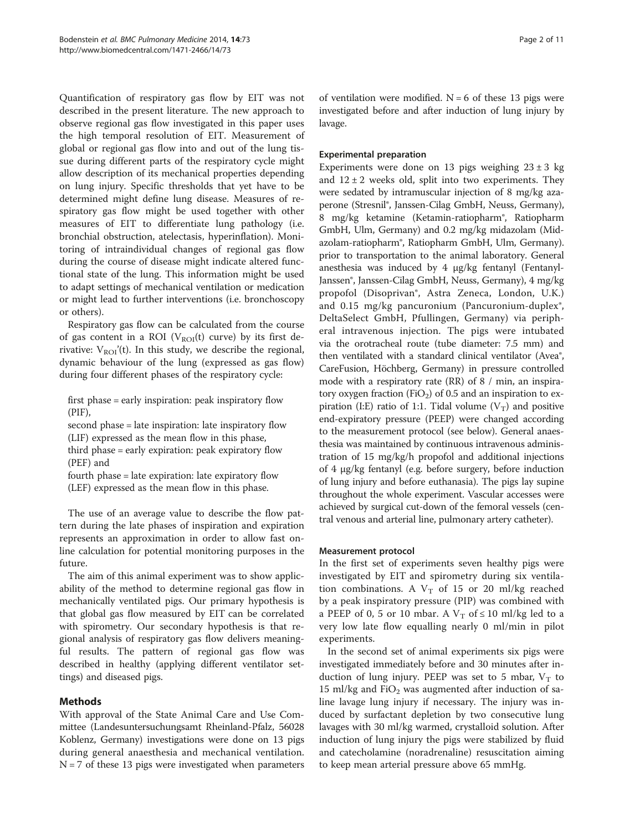Quantification of respiratory gas flow by EIT was not described in the present literature. The new approach to observe regional gas flow investigated in this paper uses the high temporal resolution of EIT. Measurement of global or regional gas flow into and out of the lung tissue during different parts of the respiratory cycle might allow description of its mechanical properties depending on lung injury. Specific thresholds that yet have to be determined might define lung disease. Measures of respiratory gas flow might be used together with other measures of EIT to differentiate lung pathology (i.e. bronchial obstruction, atelectasis, hyperinflation). Monitoring of intraindividual changes of regional gas flow during the course of disease might indicate altered functional state of the lung. This information might be used to adapt settings of mechanical ventilation or medication or might lead to further interventions (i.e. bronchoscopy or others).

Respiratory gas flow can be calculated from the course of gas content in a ROI ( $V_{\text{ROI}}(t)$  curve) by its first derivative:  $V_{ROI'}(t)$ . In this study, we describe the regional, dynamic behaviour of the lung (expressed as gas flow) during four different phases of the respiratory cycle:

first phase = early inspiration: peak inspiratory flow (PIF),

second phase = late inspiration: late inspiratory flow (LIF) expressed as the mean flow in this phase, third phase = early expiration: peak expiratory flow (PEF) and

fourth phase = late expiration: late expiratory flow (LEF) expressed as the mean flow in this phase.

The use of an average value to describe the flow pattern during the late phases of inspiration and expiration represents an approximation in order to allow fast online calculation for potential monitoring purposes in the future.

The aim of this animal experiment was to show applicability of the method to determine regional gas flow in mechanically ventilated pigs. Our primary hypothesis is that global gas flow measured by EIT can be correlated with spirometry. Our secondary hypothesis is that regional analysis of respiratory gas flow delivers meaningful results. The pattern of regional gas flow was described in healthy (applying different ventilator settings) and diseased pigs.

# Methods

With approval of the State Animal Care and Use Committee (Landesuntersuchungsamt Rheinland-Pfalz, 56028 Koblenz, Germany) investigations were done on 13 pigs during general anaesthesia and mechanical ventilation.  $N = 7$  of these 13 pigs were investigated when parameters

of ventilation were modified.  $N = 6$  of these 13 pigs were investigated before and after induction of lung injury by lavage.

# Experimental preparation

Experiments were done on 13 pigs weighing  $23 \pm 3$  kg and  $12 \pm 2$  weeks old, split into two experiments. They were sedated by intramuscular injection of 8 mg/kg azaperone (Stresnil®, Janssen-Cilag GmbH, Neuss, Germany), 8 mg/kg ketamine (Ketamin-ratiopharm®, Ratiopharm GmbH, Ulm, Germany) and 0.2 mg/kg midazolam (Midazolam-ratiopharm®, Ratiopharm GmbH, Ulm, Germany). prior to transportation to the animal laboratory. General anesthesia was induced by 4 μg/kg fentanyl (Fentanyl-Janssen®, Janssen-Cilag GmbH, Neuss, Germany), 4 mg/kg propofol (Disoprivan®, Astra Zeneca, London, U.K.) and 0.15 mg/kg pancuronium (Pancuronium-duplex®, DeltaSelect GmbH, Pfullingen, Germany) via peripheral intravenous injection. The pigs were intubated via the orotracheal route (tube diameter: 7.5 mm) and then ventilated with a standard clinical ventilator (Avea®, CareFusion, Höchberg, Germany) in pressure controlled mode with a respiratory rate (RR) of 8 / min, an inspiratory oxygen fraction (FiO<sub>2</sub>) of 0.5 and an inspiration to expiration (I:E) ratio of 1:1. Tidal volume  $(V_T)$  and positive end-expiratory pressure (PEEP) were changed according to the measurement protocol (see below). General anaesthesia was maintained by continuous intravenous administration of 15 mg/kg/h propofol and additional injections of 4 μg/kg fentanyl (e.g. before surgery, before induction of lung injury and before euthanasia). The pigs lay supine throughout the whole experiment. Vascular accesses were achieved by surgical cut-down of the femoral vessels (central venous and arterial line, pulmonary artery catheter).

#### Measurement protocol

In the first set of experiments seven healthy pigs were investigated by EIT and spirometry during six ventilation combinations. A  $V_T$  of 15 or 20 ml/kg reached by a peak inspiratory pressure (PIP) was combined with a PEEP of 0, 5 or 10 mbar. A  $V_T$  of  $\leq$  10 ml/kg led to a very low late flow equalling nearly 0 ml/min in pilot experiments.

In the second set of animal experiments six pigs were investigated immediately before and 30 minutes after induction of lung injury. PEEP was set to 5 mbar,  $V_T$  to 15 ml/kg and  $FiO<sub>2</sub>$  was augmented after induction of saline lavage lung injury if necessary. The injury was induced by surfactant depletion by two consecutive lung lavages with 30 ml/kg warmed, crystalloid solution. After induction of lung injury the pigs were stabilized by fluid and catecholamine (noradrenaline) resuscitation aiming to keep mean arterial pressure above 65 mmHg.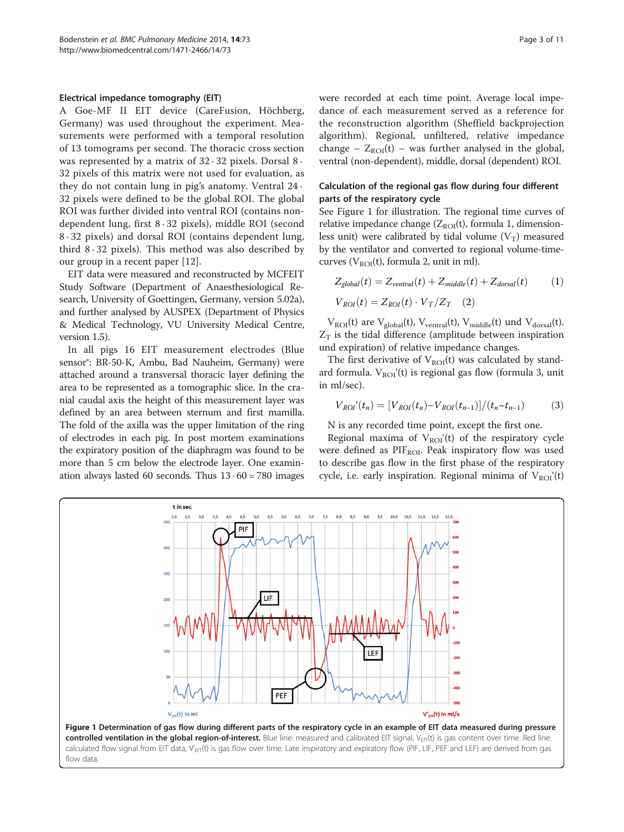#### Electrical impedance tomography (EIT)

A Goe-MF II EIT device (CareFusion, Höchberg, Germany) was used throughout the experiment. Measurements were performed with a temporal resolution of 13 tomograms per second. The thoracic cross section was represented by a matrix of  $32 \cdot 32$  pixels. Dorsal  $8 \cdot$ 32 pixels of this matrix were not used for evaluation, as they do not contain lung in pig's anatomy. Ventral 24 · 32 pixels were defined to be the global ROI. The global ROI was further divided into ventral ROI (contains nondependent lung, first 8 · 32 pixels), middle ROI (second 8 · 32 pixels) and dorsal ROI (contains dependent lung, third  $8.32$  pixels). This method was also described by our group in a recent paper [[12\]](#page-10-0).

EIT data were measured and reconstructed by MCFEIT Study Software (Department of Anaesthesiological Research, University of Goettingen, Germany, version 5.02a), and further analysed by AUSPEX (Department of Physics & Medical Technology, VU University Medical Centre, version 1.5).

In all pigs 16 EIT measurement electrodes (Blue sensor®: BR-50-K, Ambu, Bad Nauheim, Germany) were attached around a transversal thoracic layer defining the area to be represented as a tomographic slice. In the cranial caudal axis the height of this measurement layer was defined by an area between sternum and first mamilla. The fold of the axilla was the upper limitation of the ring of electrodes in each pig. In post mortem examinations the expiratory position of the diaphragm was found to be more than 5 cm below the electrode layer. One examination always lasted 60 seconds. Thus  $13 \cdot 60 = 780$  images were recorded at each time point. Average local impedance of each measurement served as a reference for the reconstruction algorithm (Sheffield backprojection algorithm). Regional, unfiltered, relative impedance change –  $Z_{ROI}(t)$  – was further analysed in the global, ventral (non-dependent), middle, dorsal (dependent) ROI.

# Calculation of the regional gas flow during four different parts of the respiratory cycle

See Figure 1 for illustration. The regional time curves of relative impedance change  $(Z_{ROI}(t)$ , formula 1, dimensionless unit) were calibrated by tidal volume  $(V_T)$  measured by the ventilator and converted to regional volume-timecurves ( $V_{ROI}(t)$ , formula 2, unit in ml).

$$
Z_{global}(t) = Z_{ventral}(t) + Z_{middle}(t) + Z_{dorsal}(t)
$$
\n
$$
V_{ROI}(t) = Z_{ROI}(t) \cdot V_T/Z_T
$$
\n(2)

 $V_{ROI}(t)$  are  $V_{global}(t)$ ,  $V_{ventral}(t)$ ,  $V_{middle}(t)$  und  $V_{dorsal}(t)$ .  $Z_T$  is the tidal difference (amplitude between inspiration und expiration) of relative impedance changes.

The first derivative of  $V_{ROI}(t)$  was calculated by standard formula.  $V_{ROI'}(t)$  is regional gas flow (formula 3, unit in ml/sec).

$$
V_{ROI}(t_n) = [V_{ROI}(t_n) - V_{ROI}(t_{n-1})]/(t_n - t_{n-1})
$$
 (3)

N is any recorded time point, except the first one.

Regional maxima of  $V_{ROI}(t)$  of the respiratory cycle were defined as  $PIF_{ROI}$ . Peak inspiratory flow was used to describe gas flow in the first phase of the respiratory cycle, i.e. early inspiration. Regional minima of  $V_{ROI}(t)$ 



controlled ventilation in the global region-of-interest. Blue line: measured and calibrated EIT signal,  $V_{\text{FIT}}(t)$  is gas content over time. Red line: calculated flow signal from EIT data, V'<sub>EIT</sub>(t) is gas flow over time. Late inspiratory and expiratory flow (PIF, LIF, PEF and LEF) are derived from gas flow data.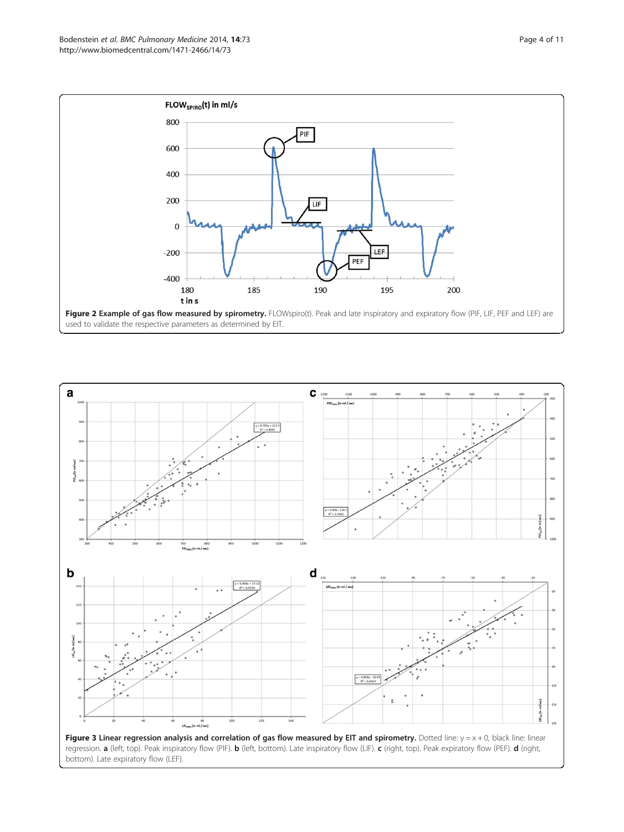

<span id="page-3-0"></span>



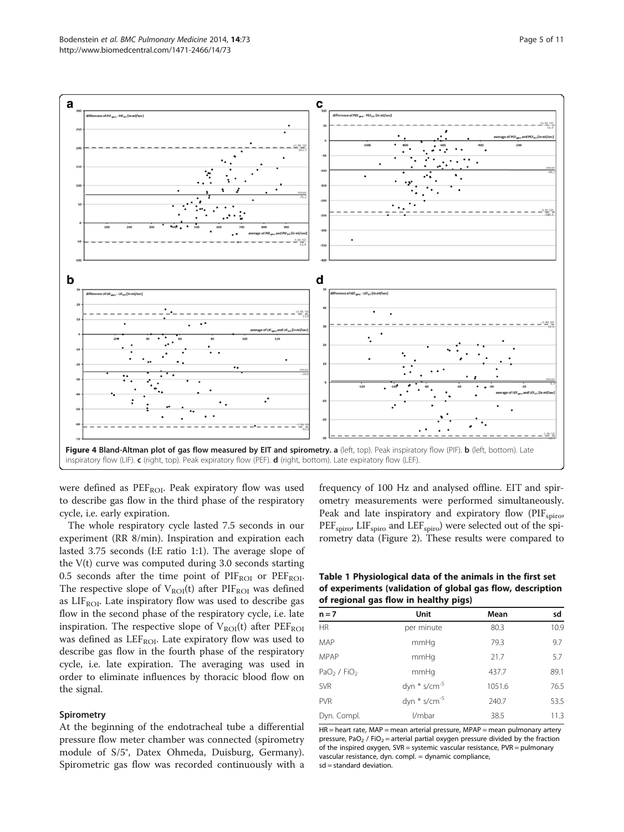<span id="page-4-0"></span>

were defined as PEF<sub>ROI</sub>. Peak expiratory flow was used to describe gas flow in the third phase of the respiratory cycle, i.e. early expiration.

The whole respiratory cycle lasted 7.5 seconds in our experiment (RR 8/min). Inspiration and expiration each lasted 3.75 seconds (I:E ratio 1:1). The average slope of the V(t) curve was computed during 3.0 seconds starting 0.5 seconds after the time point of  $PIF_{ROI}$  or  $PEF_{ROI}$ . The respective slope of  $V_{ROI}(t)$  after  $PIF_{ROI}$  was defined as  $LIF_{ROI}$ . Late inspiratory flow was used to describe gas flow in the second phase of the respiratory cycle, i.e. late inspiration. The respective slope of  $V_{ROI}(t)$  after  $PEF_{ROI}$ was defined as  $LEF_{ROI}$ . Late expiratory flow was used to describe gas flow in the fourth phase of the respiratory cycle, i.e. late expiration. The averaging was used in order to eliminate influences by thoracic blood flow on the signal.

#### Spirometry

At the beginning of the endotracheal tube a differential pressure flow meter chamber was connected (spirometry module of S/5®, Datex Ohmeda, Duisburg, Germany). Spirometric gas flow was recorded continuously with a frequency of 100 Hz and analysed offline. EIT and spirometry measurements were performed simultaneously. Peak and late inspiratory and expiratory flow ( $PIF<sub>spino</sub>$ ,  $\mathrm{PEF}_{\mathrm{spiro}}$   $\mathrm{LIF}_{\mathrm{spiro}}$  and  $\mathrm{LEF}_{\mathrm{spiro}}$  ) were selected out of the spirometry data (Figure [2\)](#page-3-0). These results were compared to

# Table 1 Physiological data of the animals in the first set of experiments (validation of global gas flow, description of regional gas flow in healthy pigs)

| $n = 7$                   | Unit                       | Mean   | sd   |
|---------------------------|----------------------------|--------|------|
| ΗR                        | per minute                 | 80.3   | 10.9 |
| MAP                       | mmHq                       | 79.3   | 9.7  |
| <b>MPAP</b>               | mmHq                       | 21.7   | 5.7  |
| $PaO2$ / FiO <sub>2</sub> | mmHq                       | 437.7  | 89.1 |
| <b>SVR</b>                | dyn * s/cm-5               | 1051.6 | 76.5 |
| <b>PVR</b>                | dyn $*$ s/cm <sup>-5</sup> | 240.7  | 53.5 |
| Dyn. Compl.               | l/mbar                     | 38.5   | 11.3 |
|                           |                            |        |      |

HR = heart rate, MAP = mean arterial pressure, MPAP = mean pulmonary artery pressure, PaO<sub>2</sub> / FiO<sub>2</sub> = arterial partial oxygen pressure divided by the fraction of the inspired oxygen, SVR = systemic vascular resistance, PVR = pulmonary vascular resistance, dyn. compl. = dynamic compliance, sd = standard deviation.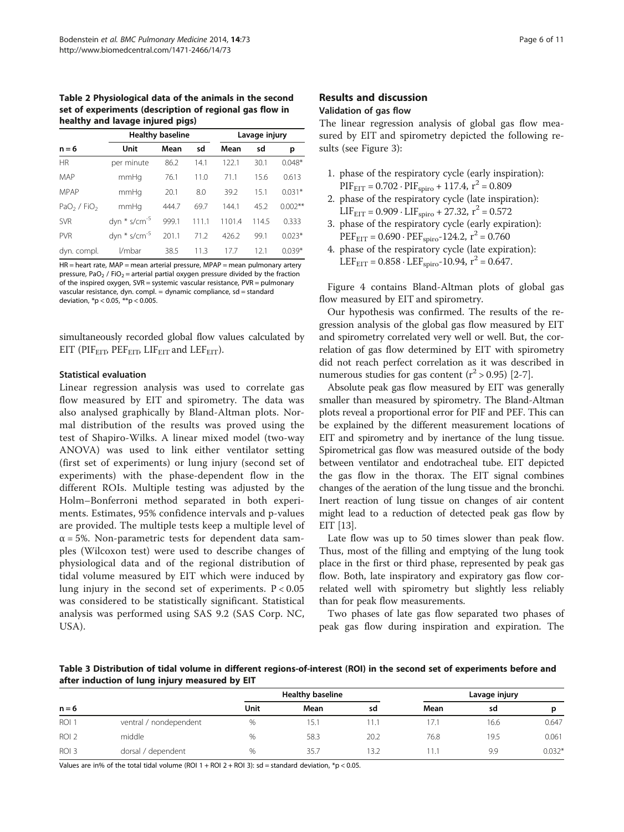<span id="page-5-0"></span>Table 2 Physiological data of the animals in the second set of experiments (description of regional gas flow in healthy and lavage injured pigs)

|                           | <b>Healthy baseline</b>    | Lavage injury |       |        |       |           |
|---------------------------|----------------------------|---------------|-------|--------|-------|-----------|
| $n = 6$                   | Unit                       | Mean          | sd    | Mean   | sd    | р         |
| <b>HR</b>                 | per minute                 | 86.2          | 14.1  | 122.1  | 30.1  | $0.048*$  |
| MAP                       | mmHq                       | 76.1          | 11.0  | 71.1   | 15.6  | 0.613     |
| <b>MPAP</b>               | mmHq                       | 20.1          | 8.0   | 39.2   | 15.1  | $0.031*$  |
| $PaO2$ / FiO <sub>2</sub> | mmHq                       | 444.7         | 69.7  | 144.1  | 45.2  | $0.002**$ |
| <b>SVR</b>                | dyn $*$ s/cm <sup>-5</sup> | 999.1         | 111.1 | 1101.4 | 114.5 | 0.333     |
| <b>PVR</b>                | dyn $*$ s/cm <sup>-5</sup> | 201.1         | 71.2  | 426.2  | 99.1  | $0.023*$  |
| dyn. compl.               | l/mbar                     | 38.5          | 11.3  | 17.7   | 12.1  | $0.039*$  |

 $HR = heart$  rate,  $MAP = mean$  arterial pressure,  $MPAP = mean$  pulmonary artery pressure, PaO<sub>2</sub> / FiO<sub>2</sub> = arterial partial oxygen pressure divided by the fraction of the inspired oxygen, SVR = systemic vascular resistance, PVR = pulmonary vascular resistance, dyn. compl. = dynamic compliance, sd = standard deviation,  $*p < 0.05$ ,  $**p < 0.005$ .

simultaneously recorded global flow values calculated by EIT (PIF $_{\text{EIT}}$  PEF $_{\text{EIT}}$  LIF $_{\text{EIT}}$  and LEF $_{\text{EIT}}$ ).

#### Statistical evaluation

Linear regression analysis was used to correlate gas flow measured by EIT and spirometry. The data was also analysed graphically by Bland-Altman plots. Normal distribution of the results was proved using the test of Shapiro-Wilks. A linear mixed model (two-way ANOVA) was used to link either ventilator setting (first set of experiments) or lung injury (second set of experiments) with the phase-dependent flow in the different ROIs. Multiple testing was adjusted by the Holm–Bonferroni method separated in both experiments. Estimates, 95% confidence intervals and p-values are provided. The multiple tests keep a multiple level of  $\alpha$  = 5%. Non-parametric tests for dependent data samples (Wilcoxon test) were used to describe changes of physiological data and of the regional distribution of tidal volume measured by EIT which were induced by lung injury in the second set of experiments.  $P < 0.05$ was considered to be statistically significant. Statistical analysis was performed using SAS 9.2 (SAS Corp. NC, USA).

# Validation of gas flow

The linear regression analysis of global gas flow measured by EIT and spirometry depicted the following results (see Figure [3\)](#page-3-0):

- 1. phase of the respiratory cycle (early inspiration):  $PIF_{EIT} = 0.702 \cdot PIF_{spiro} + 117.4$ ,  $r^2 = 0.809$
- 2. phase of the respiratory cycle (late inspiration):  $LIF_{EIT} = 0.909 \cdot LIF_{spiro} + 27.32, r^2 = 0.572$
- 3. phase of the respiratory cycle (early expiration):  $PEF<sub>FIT</sub> = 0.690 · PEF<sub>spiro</sub> - 124.2, r<sup>2</sup> = 0.760$
- 4. phase of the respiratory cycle (late expiration): LEF<sub>EIT</sub> =  $0.858 \cdot$  LEF<sub>spiro</sub>-10.94,  $r^2$  = 0.647.

Figure [4](#page-4-0) contains Bland-Altman plots of global gas flow measured by EIT and spirometry.

Our hypothesis was confirmed. The results of the regression analysis of the global gas flow measured by EIT and spirometry correlated very well or well. But, the correlation of gas flow determined by EIT with spirometry did not reach perfect correlation as it was described in numerous studies for gas content  $(r^2 > 0.95)$  $(r^2 > 0.95)$  $(r^2 > 0.95)$  [2-[7\]](#page-10-0).

Absolute peak gas flow measured by EIT was generally smaller than measured by spirometry. The Bland-Altman plots reveal a proportional error for PIF and PEF. This can be explained by the different measurement locations of EIT and spirometry and by inertance of the lung tissue. Spirometrical gas flow was measured outside of the body between ventilator and endotracheal tube. EIT depicted the gas flow in the thorax. The EIT signal combines changes of the aeration of the lung tissue and the bronchi. Inert reaction of lung tissue on changes of air content might lead to a reduction of detected peak gas flow by EIT [[13](#page-10-0)].

Late flow was up to 50 times slower than peak flow. Thus, most of the filling and emptying of the lung took place in the first or third phase, represented by peak gas flow. Both, late inspiratory and expiratory gas flow correlated well with spirometry but slightly less reliably than for peak flow measurements.

Two phases of late gas flow separated two phases of peak gas flow during inspiration and expiration. The

Table 3 Distribution of tidal volume in different regions-of-interest (ROI) in the second set of experiments before and after induction of lung injury measured by EIT

|                  |                        |      | <b>Healthy baseline</b> |      | Lavage injury |      |          |  |
|------------------|------------------------|------|-------------------------|------|---------------|------|----------|--|
| $n = 6$          |                        | Unit | Mean                    | sd   | Mean          | sd   |          |  |
| ROI 1            | ventral / nondependent | $\%$ | 15.1                    |      | 17.1          | 16.6 | 0.647    |  |
| ROI <sub>2</sub> | middle                 | %    | 58.3                    | 20.2 | 76.8          | 19.5 | 0.061    |  |
| ROI <sub>3</sub> | dorsal / dependent     | %    | 35.7                    | 13.2 | 1.1           | 9.9  | $0.032*$ |  |

Values are in% of the total tidal volume (ROI 1 + ROI 2 + ROI 3): sd = standard deviation,  $*p < 0.05$ .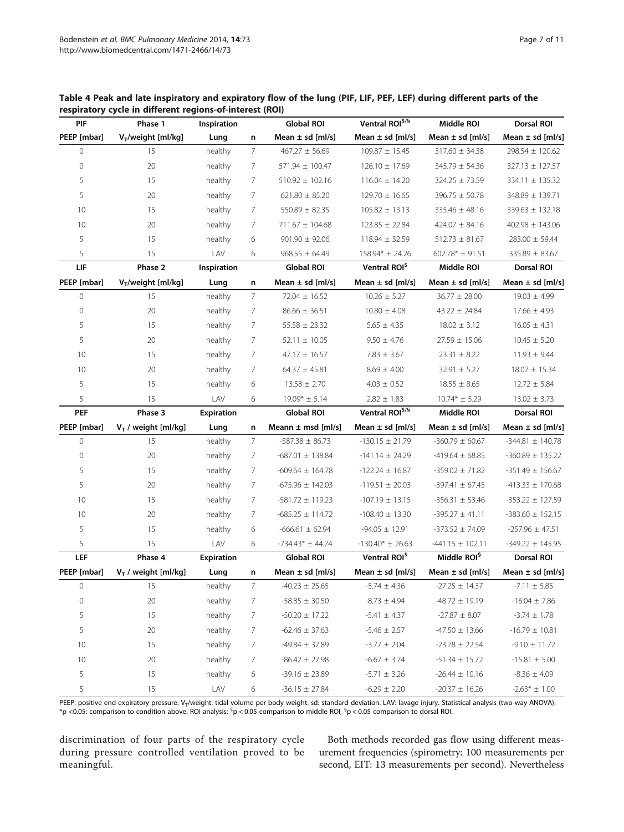<span id="page-6-0"></span>Table 4 Peak and late inspiratory and expiratory flow of the lung (PIF, LIF, PEF, LEF) during different parts of the respiratory cycle in different regions-of-interest (ROI)

| PIF                 | Phase 1                | Inspiration       |                 | <b>Global ROI</b>      | Ventral ROI <sup>\$/§</sup> | Middle ROI              | <b>Dorsal ROI</b>    |
|---------------------|------------------------|-------------------|-----------------|------------------------|-----------------------------|-------------------------|----------------------|
| PEEP [mbar]         | $V_T$ /weight [ml/kg]  | Lung              | n               | Mean $\pm$ sd [ml/s]   | Mean $\pm$ sd [ml/s]        | Mean $\pm$ sd [ml/s]    | Mean $\pm$ sd [ml/s] |
| $\mathbf 0$         | 15                     | healthy           | $\overline{7}$  | $467.27 \pm 56.69$     | $109.87 \pm 15.45$          | $317.60 \pm 34.38$      | 298.54 $\pm$ 120.62  |
| 0                   | 20                     | healthy           | 7               | $571.94 \pm 100.47$    | $126.10 \pm 17.69$          | $345.79 \pm 54.36$      | $327.13 \pm 127.57$  |
| 5                   | 15                     | healthy           | 7               | $510.92 \pm 102.16$    | $116.04 \pm 14.20$          | $324.25 \pm 73.59$      | 334.11 ± 135.32      |
| 5                   | 20                     | healthy           | 7               | $621.80 \pm 85.20$     | $129.70 \pm 16.65$          | $396.75 \pm 50.78$      | 348.89 ± 139.71      |
| 10                  | 15                     | healthy           | 7               | $550.89 \pm 82.35$     | $105.82 \pm 13.13$          | $335.46 \pm 48.16$      | $339.63 \pm 132.18$  |
| 10                  | 20                     | healthy           | 7               | 711.67 ± 104.68        | $123.85 \pm 22.84$          | $424.07 \pm 84.16$      | 402.98 ± 143.06      |
| 5                   | 15                     | healthy           | 6               | $901.90 \pm 92.06$     | $118.94 \pm 32.59$          | $512.73 \pm 81.67$      | 283.00 ± 59.44       |
| 5                   | 15                     | LAV               | 6               | $968.55 \pm 64.49$     | $158.94* \pm 24.26$         | $602.78* \pm 91.51$     | $335.89 \pm 83.67$   |
| LIF                 | Phase 2                | Inspiration       |                 | <b>Global ROI</b>      | Ventral ROI <sup>\$</sup>   | Middle ROI              | <b>Dorsal ROI</b>    |
| PEEP [mbar]         | $V_T$ /weight [ml/kg]  | Lung              | n               | Mean $\pm$ sd [ml/s]   | Mean $\pm$ sd [ml/s]        | Mean $\pm$ sd [ml/s]    | Mean $\pm$ sd [ml/s] |
| 0                   | 15                     | healthy           | $\overline{7}$  | $72.04 \pm 16.52$      | $10.26 \pm 5.27$            | $36.77 \pm 28.00$       | $19.03 \pm 4.99$     |
| 0                   | 20                     | healthy           | 7               | $86.66 \pm 36.51$      | $10.80 \pm 4.08$            | $43.22 \pm 24.84$       | $17.66 \pm 4.93$     |
| 5                   | 15                     | healthy           | 7               | $55.58 \pm 23.32$      | $5.65 \pm 4.35$             | $18.02 \pm 3.12$        | $16.05 \pm 4.31$     |
| 5                   | 20                     | healthy           | 7               | $52.11 \pm 10.05$      | $9.50 \pm 4.76$             | $27.59 \pm 15.06$       | $10.45 \pm 5.20$     |
| 10                  | 15                     | healthy           | 7               | $47.17 \pm 16.57$      | $7.83 \pm 3.67$             | $23.31 \pm 8.22$        | $11.93 \pm 9.44$     |
| 10                  | 20                     | healthy           | 7               | $64.37 \pm 45.81$      | $8.69 \pm 4.00$             | $32.91 \pm 5.27$        | $18.07 \pm 15.34$    |
| 5                   | 15                     | healthy           | 6               | $13.58 \pm 2.70$       | $4.03 \pm 0.52$             | $18.55 \pm 8.65$        | $12.72 \pm 5.84$     |
| 5                   | 15                     | LAV               | 6               | $19.09* \pm 5.14$      | $2.82 \pm 1.83$             | $10.74* \pm 5.29$       | $13.02 \pm 3.73$     |
| PEF                 | Phase 3                | <b>Expiration</b> |                 | <b>Global ROI</b>      | Ventral ROI <sup>\$/§</sup> | Middle ROI              | <b>Dorsal ROI</b>    |
| PEEP [mbar]         | $V_T$ / weight [ml/kg] | Lung              | n               | Meann $\pm$ msd [ml/s] | Mean $\pm$ sd [ml/s]        | Mean $\pm$ sd [ml/s]    | Mean $\pm$ sd [ml/s] |
| $\mathsf{O}\xspace$ | 15                     | healthy           | $\overline{7}$  | $-587.38 \pm 86.73$    | $-130.15 \pm 21.79$         | $-360.79 \pm 60.67$     | $-344.81 \pm 140.78$ |
| 0                   | 20                     | healthy           | 7               | $-687.01 \pm 138.84$   | $-141.14 \pm 24.29$         | $-419.64 \pm 68.85$     | $-360.89 \pm 135.22$ |
| 5                   | 15                     | healthy           | 7               | $-609.64 \pm 164.78$   | $-122.24 \pm 16.87$         | $-359.02 \pm 71.82$     | $-351.49 \pm 156.67$ |
| 5                   | 20                     | healthy           | 7               | $-675.96 \pm 142.03$   | $-119.51 \pm 20.03$         | $-397.41 \pm 67.45$     | $-413.33 \pm 170.68$ |
| 10                  | 15                     | healthy           | 7               | $-581.72 \pm 119.23$   | $-107.19 \pm 13.15$         | $-356.31 \pm 53.46$     | $-353.22 \pm 127.59$ |
| 10                  | 20                     | healthy           | 7               | $-685.25 \pm 114.72$   | $-108.40 \pm 13.30$         | $-395.27 \pm 41.11$     | $-383.60 \pm 152.15$ |
| 5                   | 15                     | healthy           | 6               | $-666.61 \pm 62.94$    | $-94.05 \pm 12.91$          | $-373.52 \pm 74.09$     | $-257.96 \pm 47.51$  |
| 5                   | 15                     | LAV               | 6               | $-734.43* \pm 44.74$   | $-130.40* \pm 26.63$        | $-441.15 \pm 102.11$    | $-349.22 \pm 145.95$ |
| <b>LEF</b>          | Phase 4                | <b>Expiration</b> |                 | <b>Global ROI</b>      | Ventral ROI <sup>S</sup>    | Middle ROI <sup>§</sup> | Dorsal ROI           |
| PEEP [mbar]         | $V_T$ / weight [ml/kg] | Lung              | n               | Mean $\pm$ sd [ml/s]   | Mean $\pm$ sd [ml/s]        | Mean $\pm$ sd [ml/s]    | Mean $\pm$ sd [ml/s] |
| 0                   | 15                     | healthy           | $7\overline{ }$ | $-40.23 \pm 25.65$     | $-5.74 \pm 4.36$            | $-27.25 \pm 14.37$      | $-7.11 \pm 5.85$     |
| 0                   | 20                     | healthy           | 7               | $-58.85 \pm 30.50$     | $-8.73 \pm 4.94$            | $-48.72 \pm 19.19$      | $-16.04 \pm 7.86$    |
| 5                   | 15                     | healthy           | 7               | $-50.20 \pm 17.22$     | $-5.41 \pm 4.37$            | $-27.87 \pm 8.07$       | $-3.74 \pm 1.78$     |
| 5                   | 20                     | healthy           | 7               | $-62.46 \pm 37.63$     | $-5.46 \pm 2.57$            | $-47.50 \pm 13.66$      | $-16.79 \pm 10.81$   |
| 10                  | 15                     | healthy           | 7.              | $-49.84 \pm 37.89$     | $-3.77 \pm 2.04$            | $-23.78 \pm 22.54$      | $-9.10 \pm 11.72$    |
| 10                  | 20                     | healthy           | 7               | $-86.42 \pm 27.98$     | $-6.67 \pm 3.74$            | $-51.34 \pm 15.72$      | $-15.81 \pm 5.00$    |
| 5                   | 15                     | healthy           | 6               | $-39.16 \pm 23.89$     | $-5.71 \pm 3.26$            | $-26.44 \pm 10.16$      | $-8.36 \pm 4.09$     |
| 5                   | $15\,$                 | LAV               | 6               | $-36.15 \pm 27.84$     | $-6.29 \pm 2.20$            | $-20.37 \pm 16.26$      | $-2.63* \pm 1.00$    |

PEEP: positive end-expiratory pressure. V<sub>T</sub>/weight: tidal volume per body weight. sd: standard deviation. LAV: lavage injury. Statistical analysis (two-way ANOVA): \*p <0.05: comparison to condition above. ROI analysis:  ${}^5p$  < 0.05 comparison to middle ROI,  ${}^5p$  < 0.05 comparison to dorsal ROI.

discrimination of four parts of the respiratory cycle during pressure controlled ventilation proved to be meaningful.

Both methods recorded gas flow using different measurement frequencies (spirometry: 100 measurements per second, EIT: 13 measurements per second). Nevertheless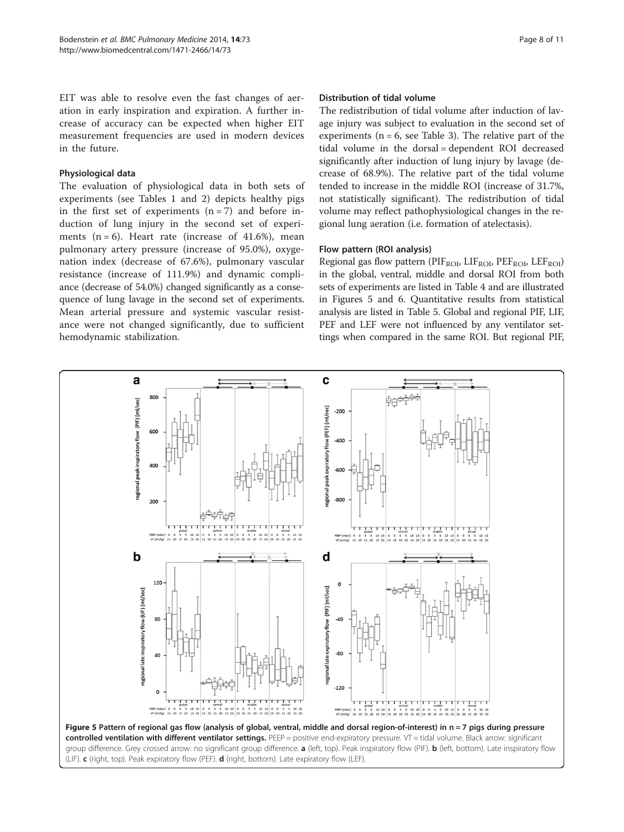EIT was able to resolve even the fast changes of aeration in early inspiration and expiration. A further increase of accuracy can be expected when higher EIT measurement frequencies are used in modern devices in the future.

#### Physiological data

The evaluation of physiological data in both sets of experiments (see Tables [1](#page-4-0) and [2\)](#page-5-0) depicts healthy pigs in the first set of experiments  $(n = 7)$  and before induction of lung injury in the second set of experiments  $(n = 6)$ . Heart rate (increase of 41.6%), mean pulmonary artery pressure (increase of 95.0%), oxygenation index (decrease of 67.6%), pulmonary vascular resistance (increase of 111.9%) and dynamic compliance (decrease of 54.0%) changed significantly as a consequence of lung lavage in the second set of experiments. Mean arterial pressure and systemic vascular resistance were not changed significantly, due to sufficient hemodynamic stabilization.

#### Distribution of tidal volume

The redistribution of tidal volume after induction of lavage injury was subject to evaluation in the second set of experiments ( $n = 6$ , see Table [3\)](#page-5-0). The relative part of the tidal volume in the dorsal = dependent ROI decreased significantly after induction of lung injury by lavage (decrease of 68.9%). The relative part of the tidal volume tended to increase in the middle ROI (increase of 31.7%, not statistically significant). The redistribution of tidal volume may reflect pathophysiological changes in the regional lung aeration (i.e. formation of atelectasis).

### Flow pattern (ROI analysis)

Regional gas flow pattern ( $PIF_{ROI}$ ,  $LIF_{ROI}$ ,  $PEF_{ROI}$ ,  $LEF_{ROI}$ ) in the global, ventral, middle and dorsal ROI from both sets of experiments are listed in Table [4](#page-6-0) and are illustrated in Figures 5 and [6](#page-8-0). Quantitative results from statistical analysis are listed in Table [5](#page-9-0). Global and regional PIF, LIF, PEF and LEF were not influenced by any ventilator settings when compared in the same ROI. But regional PIF,

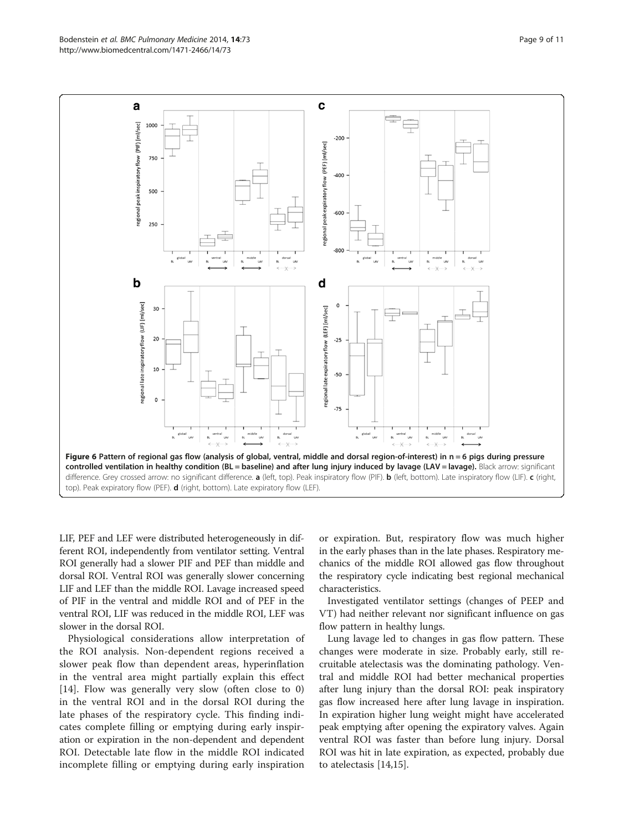<span id="page-8-0"></span>

LIF, PEF and LEF were distributed heterogeneously in different ROI, independently from ventilator setting. Ventral ROI generally had a slower PIF and PEF than middle and dorsal ROI. Ventral ROI was generally slower concerning LIF and LEF than the middle ROI. Lavage increased speed of PIF in the ventral and middle ROI and of PEF in the ventral ROI, LIF was reduced in the middle ROI, LEF was slower in the dorsal ROI.

Physiological considerations allow interpretation of the ROI analysis. Non-dependent regions received a slower peak flow than dependent areas, hyperinflation in the ventral area might partially explain this effect [[14\]](#page-10-0). Flow was generally very slow (often close to 0) in the ventral ROI and in the dorsal ROI during the late phases of the respiratory cycle. This finding indicates complete filling or emptying during early inspiration or expiration in the non-dependent and dependent ROI. Detectable late flow in the middle ROI indicated incomplete filling or emptying during early inspiration

or expiration. But, respiratory flow was much higher in the early phases than in the late phases. Respiratory mechanics of the middle ROI allowed gas flow throughout the respiratory cycle indicating best regional mechanical characteristics.

Investigated ventilator settings (changes of PEEP and VT) had neither relevant nor significant influence on gas flow pattern in healthy lungs.

Lung lavage led to changes in gas flow pattern. These changes were moderate in size. Probably early, still recruitable atelectasis was the dominating pathology. Ventral and middle ROI had better mechanical properties after lung injury than the dorsal ROI: peak inspiratory gas flow increased here after lung lavage in inspiration. In expiration higher lung weight might have accelerated peak emptying after opening the expiratory valves. Again ventral ROI was faster than before lung injury. Dorsal ROI was hit in late expiration, as expected, probably due to atelectasis [\[14,15](#page-10-0)].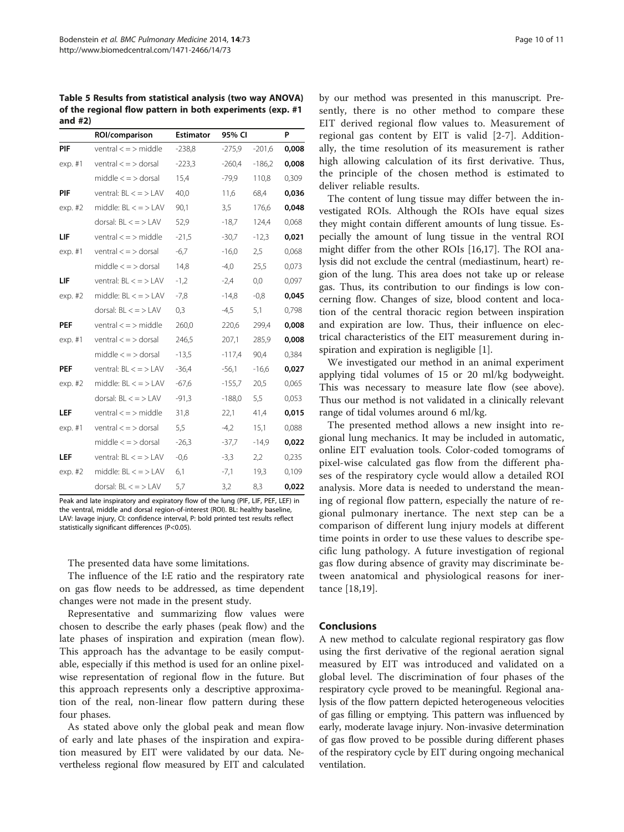<span id="page-9-0"></span>Table 5 Results from statistical analysis (two way ANOVA) of the regional flow pattern in both experiments (exp. #1 and #2)

|            | ROI/comparison             | <b>Estimator</b><br>$-238,8$ | 95% CI               | P<br>0,008 |       |
|------------|----------------------------|------------------------------|----------------------|------------|-------|
| PIF        | ventral $\lt$ = $>$ middle |                              | $-275,9$<br>$-201,6$ |            |       |
| exp. #1    | ventral $\lt$ = $>$ dorsal | $-223,3$                     | $-260,4$             | $-186,2$   | 0,008 |
|            | middle $\lt$ = $>$ dorsal  | 15,4                         | -79,9                | 110,8      | 0,309 |
| PIF        | ventral: $BL < = > LAV$    | 40,0                         | 11,6                 | 68,4       | 0,036 |
| exp. #2    | middle: $BL < = > LAV$     | 90,1                         | 3,5                  | 176,6      | 0,048 |
|            | dorsal: $BL < = > LAV$     | 52,9                         | $-18,7$              | 124,4      | 0,068 |
| LIF        | ventral $\lt$ = $>$ middle | $-21,5$                      | $-30,7$              | $-12,3$    | 0,021 |
| exp. #1    | ventral $\lt$ = $>$ dorsal | $-6,7$                       | $-16,0$              | 2,5        | 0,068 |
|            | middle $\lt$ = $>$ dorsal  | 14,8                         | $-4,0$               | 25,5       | 0,073 |
| LIF        | ventral: $BL < = > LAV$    | $-1,2$                       | $-2,4$               | $0.0\,$    | 0,097 |
| $exp.$ #2  | middle: $BL < = > LAV$     | $-7,8$                       | $-14,8$              | $-0,8$     | 0,045 |
|            | dorsal: $BL < = > LAV$     | 0,3                          | $-4,5$               | 5,1        | 0,798 |
| <b>PEF</b> | ventral $\lt$ = $>$ middle | 260,0                        | 220,6                | 299,4      | 0,008 |
| exp. #1    | ventral $\lt$ = $>$ dorsal | 246,5                        | 207,1                | 285.9      | 0,008 |
|            | middle $\lt$ = $>$ dorsal  | $-13,5$                      | $-117,4$             | 90,4       | 0,384 |
| PEF        | ventral: $BL < = > LAV$    | $-36,4$                      | $-56,1$              | $-16,6$    | 0,027 |
| exp. #2    | middle: $BL < = > LAV$     | $-67,6$                      | $-155,7$             | 20,5       | 0,065 |
|            | dorsal: $BL < = > LAV$     | $-91,3$                      | $-188,0$             | 5,5        | 0,053 |
| LEF        | ventral $\lt$ = $>$ middle | 31,8                         | 22,1                 | 41,4       | 0,015 |
| exp. #1    | ventral $\lt$ = $>$ dorsal | 5,5                          | $-4,2$               | 15,1       | 0,088 |
|            | middle $\lt$ = $>$ dorsal  | $-26,3$                      | -37,7                | $-14.9$    | 0,022 |
| LEF        | ventral: $BL < = > LAV$    | $-0,6$                       | $-3,3$               | 2,2        | 0,235 |
| $exp.$ #2  | middle: $BL < = > LAV$     | 6,1                          | $-7,1$               | 19,3       | 0,109 |
|            | dorsal: $BL < = > LAV$     | 5,7                          | 3,2                  | 8,3        | 0,022 |

Peak and late inspiratory and expiratory flow of the lung (PIF, LIF, PEF, LEF) in the ventral, middle and dorsal region-of-interest (ROI). BL: healthy baseline, LAV: lavage injury, CI: confidence interval, P: bold printed test results reflect statistically significant differences (P<0.05).

The presented data have some limitations.

The influence of the I:E ratio and the respiratory rate on gas flow needs to be addressed, as time dependent changes were not made in the present study.

Representative and summarizing flow values were chosen to describe the early phases (peak flow) and the late phases of inspiration and expiration (mean flow). This approach has the advantage to be easily computable, especially if this method is used for an online pixelwise representation of regional flow in the future. But this approach represents only a descriptive approximation of the real, non-linear flow pattern during these four phases.

As stated above only the global peak and mean flow of early and late phases of the inspiration and expiration measured by EIT were validated by our data. Nevertheless regional flow measured by EIT and calculated by our method was presented in this manuscript. Presently, there is no other method to compare these EIT derived regional flow values to. Measurement of regional gas content by EIT is valid [[2-7](#page-10-0)]. Additionally, the time resolution of its measurement is rather high allowing calculation of its first derivative. Thus, the principle of the chosen method is estimated to deliver reliable results.

The content of lung tissue may differ between the investigated ROIs. Although the ROIs have equal sizes they might contain different amounts of lung tissue. Especially the amount of lung tissue in the ventral ROI might differ from the other ROIs [[16,17\]](#page-10-0). The ROI analysis did not exclude the central (mediastinum, heart) region of the lung. This area does not take up or release gas. Thus, its contribution to our findings is low concerning flow. Changes of size, blood content and location of the central thoracic region between inspiration and expiration are low. Thus, their influence on electrical characteristics of the EIT measurement during inspiration and expiration is negligible [\[1](#page-10-0)].

We investigated our method in an animal experiment applying tidal volumes of 15 or 20 ml/kg bodyweight. This was necessary to measure late flow (see above). Thus our method is not validated in a clinically relevant range of tidal volumes around 6 ml/kg.

The presented method allows a new insight into regional lung mechanics. It may be included in automatic, online EIT evaluation tools. Color-coded tomograms of pixel-wise calculated gas flow from the different phases of the respiratory cycle would allow a detailed ROI analysis. More data is needed to understand the meaning of regional flow pattern, especially the nature of regional pulmonary inertance. The next step can be a comparison of different lung injury models at different time points in order to use these values to describe specific lung pathology. A future investigation of regional gas flow during absence of gravity may discriminate between anatomical and physiological reasons for inertance [[18,19](#page-10-0)].

#### **Conclusions**

A new method to calculate regional respiratory gas flow using the first derivative of the regional aeration signal measured by EIT was introduced and validated on a global level. The discrimination of four phases of the respiratory cycle proved to be meaningful. Regional analysis of the flow pattern depicted heterogeneous velocities of gas filling or emptying. This pattern was influenced by early, moderate lavage injury. Non-invasive determination of gas flow proved to be possible during different phases of the respiratory cycle by EIT during ongoing mechanical ventilation.